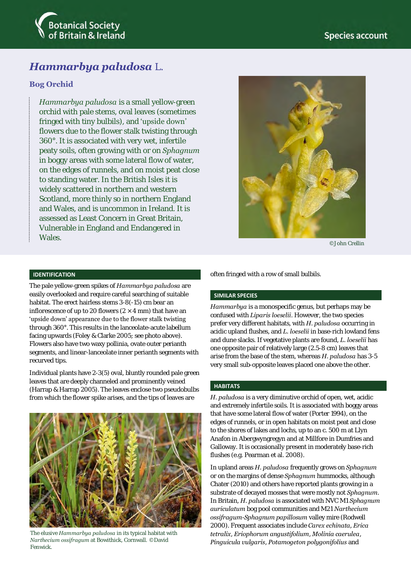

# *Hammarbya paludosa* L.

## **Bog Orchid**

*Hammarbya paludosa* is a small yellow-green orchid with pale stems, oval leaves (sometimes fringed with tiny bulbils), and 'upside down' flowers due to the flower stalk twisting through 360°. It is associated with very wet, infertile peaty soils, often growing with or on *Sphagnum* in boggy areas with some lateral flow of water, on the edges of runnels, and on moist peat close to standing water. In the British Isles it is widely scattered in northern and western Scotland, more thinly so in northern England and Wales, and is uncommon in Ireland. It is assessed as Least Concern in Great Britain, Vulnerable in England and Endangered in Wales.



©John Crellin

#### **IDENTIFICATION**

The pale yellow-green spikes of *Hammarbya paludosa* are easily overlooked and require careful searching of suitable habitat. The erect hairless stems 3-8(-15) cm bear an inflorescence of up to 20 flowers ( $2 \times 4$  mm) that have an 'upside down' appearance due to the flower stalk twisting through 360°. This results in the lanceolate-acute labellum facing upwards (Foley & Clarke 2005; see photo above). Flowers also have two waxy pollinia, ovate outer perianth segments, and linear-lanceolate inner perianth segments with recurved tips.

Individual plants have 2-3(5) oval, bluntly rounded pale green leaves that are deeply channeled and prominently veined (Harrap & Harrap 2005). The leaves enclose two pseudobulbs from which the flower spike arises, and the tips of leaves are



The elusive *Hammarbya paludosa* in its typical habitat with *Narthecium ossifragum* at Bowithick, Cornwall. ©David Fenwick.

often fringed with a row of small bulbils.

#### **SIMILAR SPECIES**

*Hammarbya* is a monospecific genus, but perhaps may be confused with *Liparis loeselii*. However, the two species prefer very different habitats, with *H. paludosa* occurring in acidic upland flushes, and *L. loeselii* in base-rich lowland fens and dune slacks. If vegetative plants are found, *L. loeselii* has one opposite pair of relatively large (2.5-8 cm) leaves that arise from the base of the stem, whereas *H. paludosa* has 3-5 very small sub-opposite leaves placed one above the other.

#### **HABITATS**

*H. paludosa* is a very diminutive orchid of open, wet, acidic and extremely infertile soils. It is associated with boggy areas that have some lateral flow of water (Porter 1994), on the edges of runnels, or in open habitats on moist peat and close to the shores of lakes and lochs, up to an c. 500 m at Llyn Anafon in Abergwyngregyn and at Millfore in Dumfries and Galloway. It is occasionally present in moderately base-rich flushes (e.g. Pearman et al. 2008).

In upland areas *H. paludosa* frequently grows on *Sphagnum* or on the margins of dense *Sphagnum* hummocks, although Chater (2010) and others have reported plants growing in a substrate of decayed mosses that were mostly not *Sphagnum*. In Britain, *H. paludosa* is associated with NVC M1 *Sphagnum auriculatum* bog pool communities and M21 *Narthecium ossifragum-Sphagnum papillosum* valley mire (Rodwell 2000). Frequent associates include *Carex echinata, Erica tetralix*, *Eriophorum angustifolium*, *Molinia caerulea*, *Pinguicula vulgaris*, *Potamogeton polygonifolius* and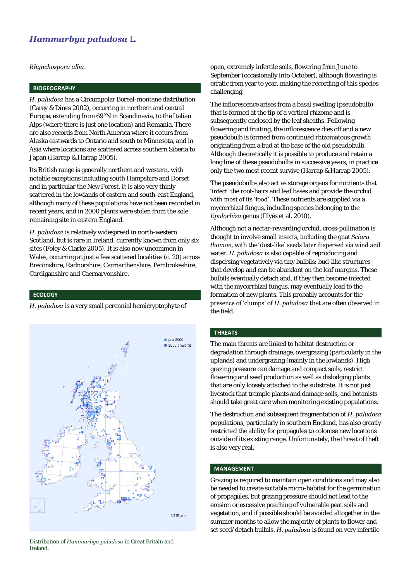## *Hammarbya paludosa* L.

*Rhynchospora alba*.

## **BIOGEOGRAPHY**

*H. paludosa* has a Circumpolar Boreal-montane distribution (Carey & Dines 2002), occurring in northern and central Europe, extending from 69°N in Scandinavia, to the Italian Alps (where there is just one location) and Romania. There are also records from North America where it occurs from Alaska eastwards to Ontario and south to Minnesota, and in Asia where locations are scattered across southern Siberia to Japan (Harrap & Harrap 2005).

Its British range is generally northern and western, with notable exceptions including south Hampshire and Dorset, and in particular the New Forest. It is also very thinly scattered in the lowlands of eastern and south-east England, although many of these populations have not been recorded in recent years, and in 2000 plants were stolen from the sole remaining site in eastern England.

*H. paludosa* is relatively widespread in north-western Scotland, but is rare in Ireland, currently known from only six sites (Foley & Clarke 2005). It is also now uncommon in Wales, occurring at just a few scattered localities (c. 20) across Breconshire, Radnorshire, Carmarthenshire, Pembrokeshire, Cardiganshire and Caernarvonshire.

### **ECOLOGY**

*H. paludosa* is a very small perennial hemicryptophyte of



Distribution of *Hammarbya paludosa* in Great Britain and Ireland.

open, extremely infertile soils, flowering from June to September (occasionally into October), although flowering is erratic from year to year, making the recording of this species challenging.

The inflorescence arises from a basal swelling (pseudobulb) that is formed at the tip of a vertical rhizome and is subsequently enclosed by the leaf sheaths. Following flowering and fruiting, the inflorescence dies off and a new pseudobulb is formed from continued rhizomatous growth originating from a bud at the base of the old pseudobulb. Although theoretically it is possible to produce and retain a long line of these pseudobulbs in successive years, in practice only the two most recent survive (Harrap & Harrap 2005).

The pseudobulbs also act as storage organs for nutrients that 'infect' the root-hairs and leaf bases and provide the orchid with most of its 'food'. These nutrients are supplied via a mycorrhizal fungus, including species belonging to the *Epulorhiza* genus (Illyés et al. 2010).

Although not a nectar-rewarding orchid, cross-pollination is thought to involve small insects, including the gnat *Sciara thomae*, with the 'dust-like' seeds later dispersed via wind and water. *H. paludosa* is also capable of reproducing and dispersing vegetatively via tiny bulbils; bud-like structures that develop and can be abundant on the leaf margins. These bulbils eventually detach and, if they then become infected with the mycorrhizal fungus, may eventually lead to the formation of new plants. This probably accounts for the presence of 'clumps' of *H. paludosa* that are often observed in the field.

### **THREATS**

The main threats are linked to habitat destruction or degradation through drainage, overgrazing (particularly in the uplands) and undergrazing (mainly in the lowlands). High grazing pressure can damage and compact soils, restrict flowering and seed production as well as dislodging plants that are only loosely attached to the substrate. It is not just livestock that trample plants and damage soils, and botanists should take great care when monitoring existing populations.

The destruction and subsequent fragmentation of *H. paludosa* populations, particularly in southern England, has also greatly restricted the ability for propagules to colonise new locations outside of its existing range. Unfortunately, the threat of theft is also very real.

#### **MANAGEMENT**

Grazing is required to maintain open conditions and may also be needed to create suitable micro-habitat for the germination of propagules, but grazing pressure should not lead to the erosion or excessive poaching of vulnerable peat soils and vegetation, and if possible should be avoided altogether in the summer months to allow the majority of plants to flower and set seed/detach bulbils. *H. paludosa* is found on very infertile